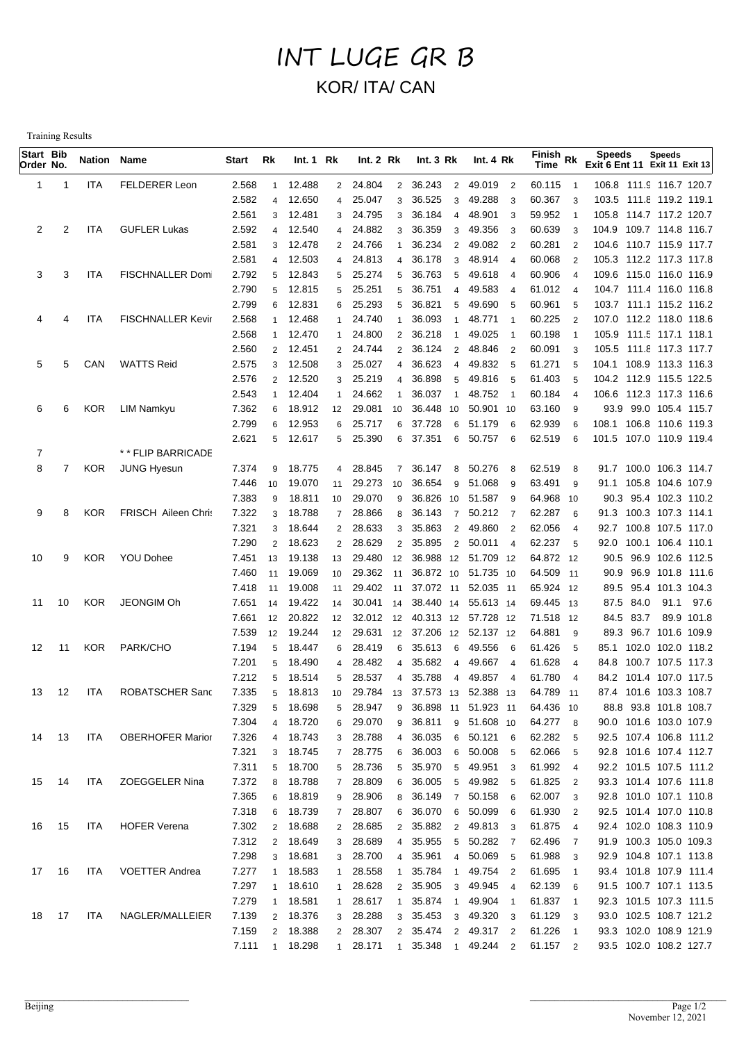## INT LUGE GR B KOR/ ITA/ CAN

Training Results

| Start Bib<br>Order No. |                | <b>Nation Name</b> |                            | Start | Rk             | Int. 1 Rk |                 | Int.2 Rk  |                | Int.3 Rk                      | Int.4 Rk   |                          | Finish Rk<br>Time |                          | <b>Speeds</b><br>Exit 6 Ent 11 Exit 11 Exit 13 | <b>Speeds</b> |            |
|------------------------|----------------|--------------------|----------------------------|-------|----------------|-----------|-----------------|-----------|----------------|-------------------------------|------------|--------------------------|-------------------|--------------------------|------------------------------------------------|---------------|------------|
| 1                      | -1             | <b>ITA</b>         | <b>FELDERER Leon</b>       | 2.568 | $\mathbf{1}$   | 12.488    | $2^{\circ}$     | 24.804    | $\overline{2}$ | 36.243<br>$\overline{2}$      | 49.019     | $\overline{2}$           | 60.115            | $\overline{1}$           | 106.8 111.9 116.7 120.7                        |               |            |
|                        |                |                    |                            | 2.582 | $\overline{4}$ | 12.650    | 4               | 25.047    | 3              | 36.525<br>3                   | 49.288     | -3                       | 60.367            | 3                        | 103.5 111.8 119.2 119.1                        |               |            |
|                        |                |                    |                            | 2.561 | 3              | 12.481    | 3               | 24.795    | 3              | 36.184<br>4                   | 48.901     | 3                        | 59.952            | $\overline{1}$           | 105.8 114.7 117.2 120.7                        |               |            |
| 2                      | 2              | <b>ITA</b>         | <b>GUFLER Lukas</b>        | 2.592 | $\overline{4}$ | 12.540    | 4               | 24.882    | 3              | 36.359<br>3                   | 49.356     | 3                        | 60.639            | 3                        | 104.9 109.7 114.8 116.7                        |               |            |
|                        |                |                    |                            | 2.581 | 3              | 12.478    |                 | 2 24.766  |                | 36.234<br>2                   | 49.082     | $\overline{2}$           | 60.281            | $\overline{2}$           | 104.6 110.7 115.9 117.7                        |               |            |
|                        |                |                    |                            | 2.581 | $\overline{4}$ | 12.503    | 4               | 24.813    | $\overline{4}$ | 36.178<br>3                   | 48.914     | $\overline{4}$           | 60.068            | $\overline{2}$           | 105.3 112.2 117.3 117.8                        |               |            |
| 3                      | 3              | ITA                | <b>FISCHNALLER Dom</b>     | 2.792 | 5              | 12.843    | 5               | 25.274    | 5              | 36.763<br>5                   | 49.618     | $\overline{4}$           | 60.906            | $\overline{4}$           | 109.6 115.0 116.0 116.9                        |               |            |
|                        |                |                    |                            | 2.790 | 5              | 12.815    | 5               | 25.251    | 5              | 36.751<br>$\overline{4}$      | 49.583     | $\overline{4}$           | 61.012            | $\overline{4}$           | 104.7 111.4 116.0 116.8                        |               |            |
|                        |                |                    |                            | 2.799 | 6              | 12.831    | 6               | 25.293    | 5              | 36.821<br>5                   | 49.690     | 5                        | 60.961            | 5                        | 103.7 111.1 115.2 116.2                        |               |            |
| 4                      | 4              | <b>ITA</b>         | <b>FISCHNALLER Kevir</b>   | 2.568 | $\mathbf{1}$   | 12.468    | 1               | 24.740    |                | 36.093<br>$\mathbf{1}$        | 48.771     | $\mathbf{1}$             | 60.225            | $\overline{2}$           | 107.0 112.2 118.0 118.6                        |               |            |
|                        |                |                    |                            | 2.568 | $\mathbf{1}$   | 12.470    | 1               | 24.800    | 2              | 36.218<br>$\mathbf{1}$        | 49.025     | $\overline{1}$           | 60.198            | $\overline{1}$           | 105.9 111.5 117.1 118.1                        |               |            |
|                        |                |                    |                            | 2.560 | $\overline{2}$ | 12.451    |                 | 2 24.744  | 2              | 36.124<br>$\overline{2}$      | 48.846     | $\overline{2}$           | 60.091            | 3                        | 105.5 111.8 117.3 117.7                        |               |            |
| 5                      | 5              | CAN                | <b>WATTS Reid</b>          | 2.575 | 3              | 12.508    | 3               | 25.027    | $\overline{4}$ | 36.623<br>$\overline{4}$      | 49.832     | - 5                      | 61.271            | 5                        | 104.1 108.9 113.3 116.3                        |               |            |
|                        |                |                    |                            | 2.576 | 2              | 12.520    | 3               | 25.219    | $\overline{4}$ | 36.898<br>5                   | 49.816     | - 5                      | 61.403            | 5                        | 104.2 112.9 115.5 122.5                        |               |            |
|                        |                |                    |                            | 2.543 | $\mathbf{1}$   | 12.404    | 1               | 24.662    |                | 36.037<br>$\mathbf{1}$        | 48.752     | $\overline{\phantom{0}}$ | 60.184            | $\overline{4}$           | 106.6 112.3 117.3 116.6                        |               |            |
| 6                      | 6              | <b>KOR</b>         | LIM Namkyu                 | 7.362 | 6              | 18.912    | 12              | 29.081    | 10             | 36.448<br>10                  | 50.901 10  |                          | 63.160            | 9                        | 93.9 99.0 105.4 115.7                          |               |            |
|                        |                |                    |                            | 2.799 | 6              | 12.953    | 6               | 25.717    | 6              | 37.728<br>6                   | 51.179     | 6                        | 62.939            | 6                        | 108.1 106.8 110.6 119.3                        |               |            |
|                        |                |                    |                            | 2.621 |                | 5 12.617  |                 | 5 25.390  | 6              | 37.351                        | 6 50.757   | - 6                      | 62.519            | 6                        | 101.5 107.0 110.9 119.4                        |               |            |
| 7                      |                |                    | ** FLIP BARRICADE          |       |                |           |                 |           |                |                               |            |                          |                   |                          |                                                |               |            |
| 8                      | $\overline{7}$ | <b>KOR</b>         | <b>JUNG Hyesun</b>         | 7.374 | 9              | 18.775    | $\overline{4}$  | 28.845    | $\overline{7}$ | 36.147<br>8                   | 50.276     | 8                        | 62.519            | 8                        | 91.7 100.0 106.3 114.7                         |               |            |
|                        |                |                    |                            | 7.446 | 10             | 19.070    | 11              | 29.273    | 10             | 36.654<br>9                   | 51.068     | 9                        | 63.491            | 9                        | 91.1 105.8 104.6 107.9                         |               |            |
|                        |                |                    |                            | 7.383 | 9              | 18.811    | 10              | 29.070    | 9              | 36.826 10 51.587              |            | -9                       | 64.968 10         |                          | 90.3 95.4 102.3 110.2                          |               |            |
| 9                      | 8              | <b>KOR</b>         | <b>FRISCH Aileen Chris</b> | 7.322 | 3              | 18.788    | $\overline{7}$  | 28.866    | 8              | 36.143<br>$\overline{7}$      | 50.212     | $\overline{7}$           | 62.287            | 6                        | 91.3 100.3 107.3 114.1                         |               |            |
|                        |                |                    |                            | 7.321 | 3              | 18.644    | $\overline{2}$  | 28.633    | 3              | 35.863<br>$\overline{2}$      | 49.860     | $\overline{2}$           | 62.056            | $\overline{4}$           | 92.7 100.8 107.5 117.0                         |               |            |
|                        |                |                    |                            | 7.290 | $\overline{2}$ | 18.623    | $\overline{2}$  | 28.629    | $\overline{2}$ | 35.895<br>$\overline{2}$      | 50.011     | $\overline{4}$           | 62.237            | 5                        | 92.0 100.1 106.4 110.1                         |               |            |
| 10                     | 9              | <b>KOR</b>         | <b>YOU Dohee</b>           | 7.451 | 13             | 19.138    | 13              | 29.480    | 12             | 36.988 12 51.709 12           |            |                          | 64.872 12         |                          | 90.5 96.9 102.6 112.5                          |               |            |
|                        |                |                    |                            | 7.460 | 11             | 19.069    | 10              | 29.362    | 11             | 36.872 10 51.735 10           |            |                          | 64.509 11         |                          | 90.9 96.9 101.8 111.6                          |               |            |
|                        |                |                    |                            | 7.418 | 11             | 19.008    | 11              | 29.402    | 11             | 37.072 11 52.035 11           |            |                          | 65.924 12         |                          | 89.5 95.4 101.3 104.3                          |               |            |
| 11                     | 10             | <b>KOR</b>         | JEONGIM Oh                 | 7.651 | 14             | 19.422    | 14              | 30.041 14 |                | 38.440 14                     | 55.613 14  |                          | 69.445 13         |                          | 87.5 84.0                                      |               | 91.1 97.6  |
|                        |                |                    |                            | 7.661 | 12             | 20.822    | 12              | 32.012 12 |                | 40.313 12 57.728 12           |            |                          | 71.518 12         |                          | 84.5 83.7                                      |               | 89.9 101.8 |
|                        |                |                    |                            | 7.539 | 12             | 19.244    | 12              | 29.631    | 12             | 37.206 12 52.137 12           |            |                          | 64.881            | -9                       | 89.3 96.7 101.6 109.9                          |               |            |
| 12                     | 11             | <b>KOR</b>         | PARK/CHO                   | 7.194 | 5              | 18.447    | 6               | 28.419    | 6              | 35.613<br>6                   | 49.556     | - 6                      | 61.426            | 5                        | 85.1 102.0 102.0 118.2                         |               |            |
|                        |                |                    |                            | 7.201 | 5              | 18.490    | 4               | 28.482    | $\overline{4}$ | 35.682<br>$\overline{4}$      | 49.667     | $\overline{4}$           | 61.628            | $\overline{4}$           | 84.8 100.7 107.5 117.3                         |               |            |
|                        |                |                    |                            | 7.212 | 5              | 18.514    | 5               | 28.537    | 4              | 35.788<br>4                   | 49.857     | $\overline{4}$           | 61.780            | $\overline{4}$           | 84.2 101.4 107.0 117.5                         |               |            |
| 13                     | 12             | <b>ITA</b>         | ROBATSCHER Sand            | 7.335 |                | 5 18.813  | 10 <sup>°</sup> |           |                | 29.784 13 37.573 13 52.388 13 |            |                          | 64.789 11         |                          | 87.4 101.6 103.3 108.7                         |               |            |
|                        |                |                    |                            | 7.329 | 5              | 18.698    | 5 <sub>5</sub>  | 28.947    | 9              | 36.898 11 51.923 11           |            |                          | 64.436 10         |                          | 88.8 93.8 101.8 108.7                          |               |            |
|                        |                |                    |                            | 7.304 | $\overline{4}$ | 18.720    | 6               | 29.070    | 9              | 36.811 9 51.608 10            |            |                          | 64.277 8          |                          | 90.0 101.6 103.0 107.9                         |               |            |
| 14                     | 13             | ITA                | <b>OBERHOFER Marior</b>    | 7.326 |                | 4 18.743  |                 | 3 28.788  | $\overline{4}$ | 36.035                        | 6 50.121 6 |                          | 62.282            | - 5                      | 92.5 107.4 106.8 111.2                         |               |            |
|                        |                |                    |                            | 7.321 |                | 3 18.745  |                 | 7 28.775  |                | 6 36.003                      | 6 50.008 5 |                          | 62.066            | 5                        | 92.8 101.6 107.4 112.7                         |               |            |
|                        |                |                    |                            | 7.311 |                | 5 18.700  |                 | 5 28.736  |                | 5 35.970                      | 5 49.951 3 |                          | 61.992            | $\overline{4}$           | 92.2 101.5 107.5 111.2                         |               |            |
| 15                     | 14             | ITA                | <b>ZOEGGELER Nina</b>      | 7.372 |                | 8 18.788  |                 | 7 28.809  |                | 6 36.005                      | 5 49.982 5 |                          | 61.825 2          |                          | 93.3 101.4 107.6 111.8                         |               |            |
|                        |                |                    |                            | 7.365 |                | 6 18.819  |                 | 9 28.906  |                | 8 36.149 7 50.158 6           |            |                          | 62.007 3          |                          | 92.8 101.0 107.1 110.8                         |               |            |
|                        |                |                    |                            | 7.318 |                | 6 18.739  |                 | 7 28.807  |                | 6 36.070 6 50.099 6           |            |                          | 61.930 2          |                          | 92.5 101.4 107.0 110.8                         |               |            |
| 16                     | 15             | ITA                | <b>HOFER Verena</b>        | 7.302 |                | 2 18.688  |                 | 2 28.685  |                | 2 35.882                      | 2 49.813 3 |                          | 61.875            | $\overline{4}$           | 92.4 102.0 108.3 110.9                         |               |            |
|                        |                |                    |                            | 7.312 |                | 2 18.649  |                 | 3 28.689  |                | 4 35.955                      | 5 50.282 7 |                          | 62.496 7          |                          | 91.9 100.3 105.0 109.3                         |               |            |
|                        |                |                    |                            | 7.298 |                | 3 18.681  |                 | 3 28.700  | $\overline{4}$ | 35.961                        | 4 50.069 5 |                          | 61.988            | $\overline{\mathbf{3}}$  | 92.9 104.8 107.1 113.8                         |               |            |
| 17                     | 16             | ITA                | <b>VOETTER Andrea</b>      | 7.277 | $\mathbf{1}$   | 18.583    | 1               | 28.558    | $\blacksquare$ | 35.784                        | 1 49.754 2 |                          | 61.695 1          |                          | 93.4 101.8 107.9 111.4                         |               |            |
|                        |                |                    |                            | 7.297 | $\mathbf{1}$   | 18.610    | 1               | 28.628    |                | 2 35.905                      | 3 49.945 4 |                          | 62.139            | 6                        | 91.5 100.7 107.1 113.5                         |               |            |
|                        |                |                    |                            | 7.279 | $\mathbf{1}$   | 18.581    | $\mathbf{1}$    | 28.617    | $\overline{1}$ | 35.874<br>$\overline{1}$      | 49.904 1   |                          | 61.837 1          |                          | 92.3 101.5 107.3 111.5                         |               |            |
| 18                     | 17             | ITA                | NAGLER/MALLEIER            | 7.139 |                | 2 18.376  | 3 <sup>1</sup>  | 28.288    |                | 3 35.453                      | 3 49.320 3 |                          | 61.129 3          |                          | 93.0 102.5 108.7 121.2                         |               |            |
|                        |                |                    |                            | 7.159 |                | 2 18.388  |                 | 2 28.307  |                | 2 35.474                      | 2 49.317 2 |                          | 61.226            | $\overline{\phantom{1}}$ | 93.3 102.0 108.9 121.9                         |               |            |
|                        |                |                    |                            | 7.111 |                | 1 18.298  |                 | 1 28.171  |                | 1 35.348                      | 1 49.244 2 |                          | 61.157 2          |                          | 93.5 102.0 108.2 127.7                         |               |            |
|                        |                |                    |                            |       |                |           |                 |           |                |                               |            |                          |                   |                          |                                                |               |            |